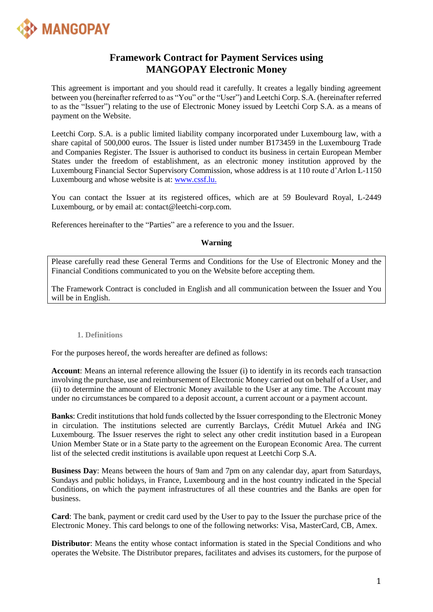

# **Framework Contract for Payment Services using MANGOPAY Electronic Money**

This agreement is important and you should read it carefully. It creates a legally binding agreement between you (hereinafter referred to as "You" or the "User") and Leetchi Corp. S.A. (hereinafter referred to as the "Issuer") relating to the use of Electronic Money issued by Leetchi Corp S.A. as a means of payment on the Website.

Leetchi Corp. S.A. is a public limited liability company incorporated under Luxembourg law, with a share capital of 500,000 euros. The Issuer is listed under number B173459 in the Luxembourg Trade and Companies Register. The Issuer is authorised to conduct its business in certain European Member States under the freedom of establishment, as an electronic money institution approved by the Luxembourg Financial Sector Supervisory Commission, whose address is at 110 route d'Arlon L-1150 Luxembourg and whose website is at: [www.cssf.lu.](http://www.cssf.lu/)

You can contact the Issuer at its registered offices, which are at 59 Boulevard Royal, L-2449 Luxembourg, or by email at: contact@leetchi-corp.com.

References hereinafter to the "Parties" are a reference to you and the Issuer.

# **Warning**

Please carefully read these General Terms and Conditions for the Use of Electronic Money and the Financial Conditions communicated to you on the Website before accepting them.

The Framework Contract is concluded in English and all communication between the Issuer and You will be in English.

#### **1. Definitions**

For the purposes hereof, the words hereafter are defined as follows:

**Account**: Means an internal reference allowing the Issuer (i) to identify in its records each transaction involving the purchase, use and reimbursement of Electronic Money carried out on behalf of a User, and (ii) to determine the amount of Electronic Money available to the User at any time. The Account may under no circumstances be compared to a deposit account, a current account or a payment account.

**Banks**: Credit institutions that hold funds collected by the Issuer corresponding to the Electronic Money in circulation. The institutions selected are currently Barclays, Crédit Mutuel Arkéa and ING Luxembourg. The Issuer reserves the right to select any other credit institution based in a European Union Member State or in a State party to the agreement on the European Economic Area. The current list of the selected credit institutions is available upon request at Leetchi Corp S.A.

**Business Day**: Means between the hours of 9am and 7pm on any calendar day, apart from Saturdays, Sundays and public holidays, in France, Luxembourg and in the host country indicated in the Special Conditions, on which the payment infrastructures of all these countries and the Banks are open for business.

**Card**: The bank, payment or credit card used by the User to pay to the Issuer the purchase price of the Electronic Money. This card belongs to one of the following networks: Visa, MasterCard, CB, Amex.

**Distributor**: Means the entity whose contact information is stated in the Special Conditions and who operates the Website. The Distributor prepares, facilitates and advises its customers, for the purpose of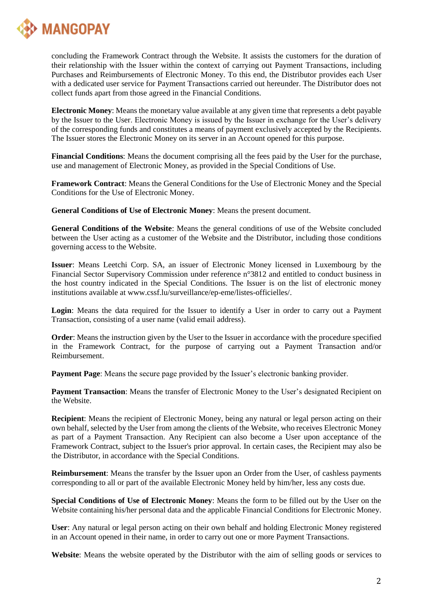

concluding the Framework Contract through the Website. It assists the customers for the duration of their relationship with the Issuer within the context of carrying out Payment Transactions, including Purchases and Reimbursements of Electronic Money. To this end, the Distributor provides each User with a dedicated user service for Payment Transactions carried out hereunder. The Distributor does not collect funds apart from those agreed in the Financial Conditions.

**Electronic Money**: Means the monetary value available at any given time that represents a debt payable by the Issuer to the User. Electronic Money is issued by the Issuer in exchange for the User's delivery of the corresponding funds and constitutes a means of payment exclusively accepted by the Recipients. The Issuer stores the Electronic Money on its server in an Account opened for this purpose.

**Financial Conditions**: Means the document comprising all the fees paid by the User for the purchase, use and management of Electronic Money, as provided in the Special Conditions of Use.

**Framework Contract**: Means the General Conditions for the Use of Electronic Money and the Special Conditions for the Use of Electronic Money.

**General Conditions of Use of Electronic Money**: Means the present document.

**General Conditions of the Website**: Means the general conditions of use of the Website concluded between the User acting as a customer of the Website and the Distributor, including those conditions governing access to the Website.

**Issuer**: Means Leetchi Corp. SA, an issuer of Electronic Money licensed in Luxembourg by the Financial Sector Supervisory Commission under reference n°3812 and entitled to conduct business in the host country indicated in the Special Conditions. The Issuer is on the list of electronic money institutions available at www.cssf.lu/surveillance/ep-eme/listes-officielles/.

**Login**: Means the data required for the Issuer to identify a User in order to carry out a Payment Transaction, consisting of a user name (valid email address).

**Order:** Means the instruction given by the User to the Issuer in accordance with the procedure specified in the Framework Contract, for the purpose of carrying out a Payment Transaction and/or Reimbursement.

**Payment Page**: Means the secure page provided by the Issuer's electronic banking provider.

**Payment Transaction:** Means the transfer of Electronic Money to the User's designated Recipient on the Website.

**Recipient**: Means the recipient of Electronic Money, being any natural or legal person acting on their own behalf, selected by the User from among the clients of the Website, who receives Electronic Money as part of a Payment Transaction. Any Recipient can also become a User upon acceptance of the Framework Contract, subject to the Issuer's prior approval. In certain cases, the Recipient may also be the Distributor, in accordance with the Special Conditions.

**Reimbursement**: Means the transfer by the Issuer upon an Order from the User, of cashless payments corresponding to all or part of the available Electronic Money held by him/her, less any costs due.

**Special Conditions of Use of Electronic Money**: Means the form to be filled out by the User on the Website containing his/her personal data and the applicable Financial Conditions for Electronic Money.

**User**: Any natural or legal person acting on their own behalf and holding Electronic Money registered in an Account opened in their name, in order to carry out one or more Payment Transactions.

**Website**: Means the website operated by the Distributor with the aim of selling goods or services to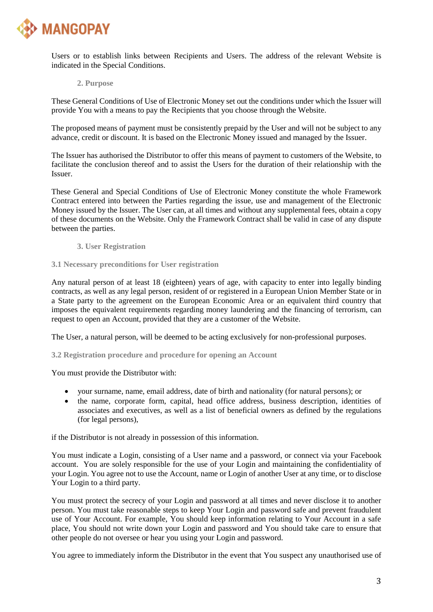

Users or to establish links between Recipients and Users. The address of the relevant Website is indicated in the Special Conditions.

**2. Purpose**

These General Conditions of Use of Electronic Money set out the conditions under which the Issuer will provide You with a means to pay the Recipients that you choose through the Website.

The proposed means of payment must be consistently prepaid by the User and will not be subject to any advance, credit or discount. It is based on the Electronic Money issued and managed by the Issuer.

The Issuer has authorised the Distributor to offer this means of payment to customers of the Website, to facilitate the conclusion thereof and to assist the Users for the duration of their relationship with the Issuer.

These General and Special Conditions of Use of Electronic Money constitute the whole Framework Contract entered into between the Parties regarding the issue, use and management of the Electronic Money issued by the Issuer. The User can, at all times and without any supplemental fees, obtain a copy of these documents on the Website. Only the Framework Contract shall be valid in case of any dispute between the parties.

**3. User Registration**

## **3.1 Necessary preconditions for User registration**

Any natural person of at least 18 (eighteen) years of age, with capacity to enter into legally binding contracts, as well as any legal person, resident of or registered in a European Union Member State or in a State party to the agreement on the European Economic Area or an equivalent third country that imposes the equivalent requirements regarding money laundering and the financing of terrorism, can request to open an Account, provided that they are a customer of the Website.

The User, a natural person, will be deemed to be acting exclusively for non-professional purposes.

**3.2 Registration procedure and procedure for opening an Account** 

You must provide the Distributor with:

- your surname, name, email address, date of birth and nationality (for natural persons); or
- the name, corporate form, capital, head office address, business description, identities of associates and executives, as well as a list of beneficial owners as defined by the regulations (for legal persons),

if the Distributor is not already in possession of this information.

You must indicate a Login, consisting of a User name and a password, or connect via your Facebook account. You are solely responsible for the use of your Login and maintaining the confidentiality of your Login. You agree not to use the Account, name or Login of another User at any time, or to disclose Your Login to a third party.

You must protect the secrecy of your Login and password at all times and never disclose it to another person. You must take reasonable steps to keep Your Login and password safe and prevent fraudulent use of Your Account. For example, You should keep information relating to Your Account in a safe place, You should not write down your Login and password and You should take care to ensure that other people do not oversee or hear you using your Login and password.

You agree to immediately inform the Distributor in the event that You suspect any unauthorised use of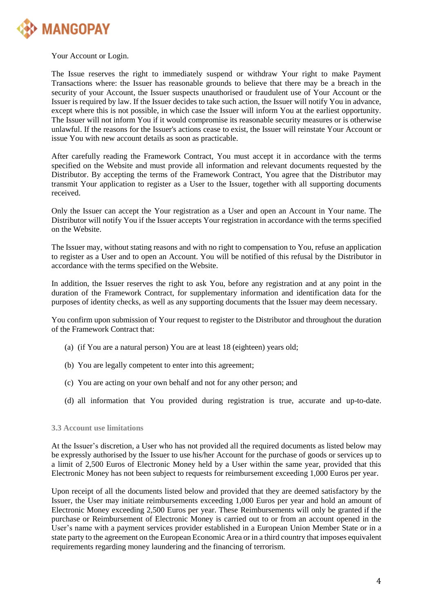

Your Account or Login.

The Issue reserves the right to immediately suspend or withdraw Your right to make Payment Transactions where: the Issuer has reasonable grounds to believe that there may be a breach in the security of your Account, the Issuer suspects unauthorised or fraudulent use of Your Account or the Issuer is required by law. If the Issuer decides to take such action, the Issuer will notify You in advance, except where this is not possible, in which case the Issuer will inform You at the earliest opportunity. The Issuer will not inform You if it would compromise its reasonable security measures or is otherwise unlawful. If the reasons for the Issuer's actions cease to exist, the Issuer will reinstate Your Account or issue You with new account details as soon as practicable.

After carefully reading the Framework Contract, You must accept it in accordance with the terms specified on the Website and must provide all information and relevant documents requested by the Distributor. By accepting the terms of the Framework Contract, You agree that the Distributor may transmit Your application to register as a User to the Issuer, together with all supporting documents received.

Only the Issuer can accept the Your registration as a User and open an Account in Your name. The Distributor will notify You if the Issuer accepts Your registration in accordance with the terms specified on the Website.

The Issuer may, without stating reasons and with no right to compensation to You, refuse an application to register as a User and to open an Account. You will be notified of this refusal by the Distributor in accordance with the terms specified on the Website.

In addition, the Issuer reserves the right to ask You, before any registration and at any point in the duration of the Framework Contract, for supplementary information and identification data for the purposes of identity checks, as well as any supporting documents that the Issuer may deem necessary.

You confirm upon submission of Your request to register to the Distributor and throughout the duration of the Framework Contract that:

- (a) (if You are a natural person) You are at least 18 (eighteen) years old;
- (b) You are legally competent to enter into this agreement;
- (c) You are acting on your own behalf and not for any other person; and
- (d) all information that You provided during registration is true, accurate and up-to-date.

#### **3.3 Account use limitations**

At the Issuer's discretion, a User who has not provided all the required documents as listed below may be expressly authorised by the Issuer to use his/her Account for the purchase of goods or services up to a limit of 2,500 Euros of Electronic Money held by a User within the same year, provided that this Electronic Money has not been subject to requests for reimbursement exceeding 1,000 Euros per year.

Upon receipt of all the documents listed below and provided that they are deemed satisfactory by the Issuer, the User may initiate reimbursements exceeding 1,000 Euros per year and hold an amount of Electronic Money exceeding 2,500 Euros per year. These Reimbursements will only be granted if the purchase or Reimbursement of Electronic Money is carried out to or from an account opened in the User's name with a payment services provider established in a European Union Member State or in a state party to the agreement on the European Economic Area or in a third country that imposes equivalent requirements regarding money laundering and the financing of terrorism.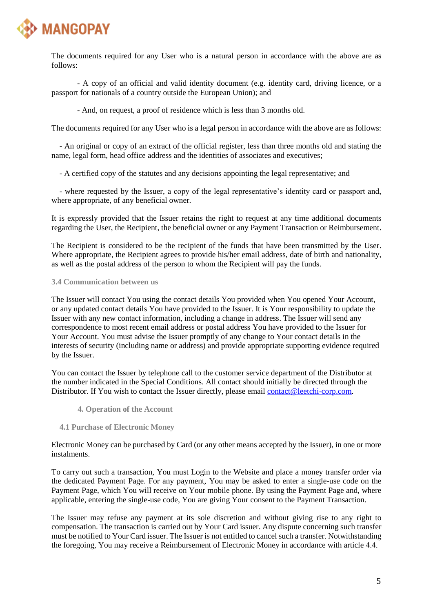

The documents required for any User who is a natural person in accordance with the above are as follows:

- A copy of an official and valid identity document (e.g. identity card, driving licence, or a passport for nationals of a country outside the European Union); and

- And, on request, a proof of residence which is less than 3 months old.

The documents required for any User who is a legal person in accordance with the above are as follows:

- An original or copy of an extract of the official register, less than three months old and stating the name, legal form, head office address and the identities of associates and executives;

- A certified copy of the statutes and any decisions appointing the legal representative; and

- where requested by the Issuer, a copy of the legal representative's identity card or passport and, where appropriate, of any beneficial owner.

It is expressly provided that the Issuer retains the right to request at any time additional documents regarding the User, the Recipient, the beneficial owner or any Payment Transaction or Reimbursement.

The Recipient is considered to be the recipient of the funds that have been transmitted by the User. Where appropriate, the Recipient agrees to provide his/her email address, date of birth and nationality, as well as the postal address of the person to whom the Recipient will pay the funds.

# **3.4 Communication between us**

The Issuer will contact You using the contact details You provided when You opened Your Account, or any updated contact details You have provided to the Issuer. It is Your responsibility to update the Issuer with any new contact information, including a change in address. The Issuer will send any correspondence to most recent email address or postal address You have provided to the Issuer for Your Account. You must advise the Issuer promptly of any change to Your contact details in the interests of security (including name or address) and provide appropriate supporting evidence required by the Issuer.

You can contact the Issuer by telephone call to the customer service department of the Distributor at the number indicated in the Special Conditions. All contact should initially be directed through the Distributor. If You wish to contact the Issuer directly, please email [contact@leetchi-corp.com.](mailto:contact@leetchi-corp.com)

**4. Operation of the Account**

# **4.1 Purchase of Electronic Money**

Electronic Money can be purchased by Card (or any other means accepted by the Issuer), in one or more instalments.

To carry out such a transaction, You must Login to the Website and place a money transfer order via the dedicated Payment Page. For any payment, You may be asked to enter a single-use code on the Payment Page, which You will receive on Your mobile phone. By using the Payment Page and, where applicable, entering the single-use code, You are giving Your consent to the Payment Transaction.

The Issuer may refuse any payment at its sole discretion and without giving rise to any right to compensation. The transaction is carried out by Your Card issuer. Any dispute concerning such transfer must be notified to Your Card issuer. The Issuer is not entitled to cancel such a transfer. Notwithstanding the foregoing, You may receive a Reimbursement of Electronic Money in accordance with article 4.4.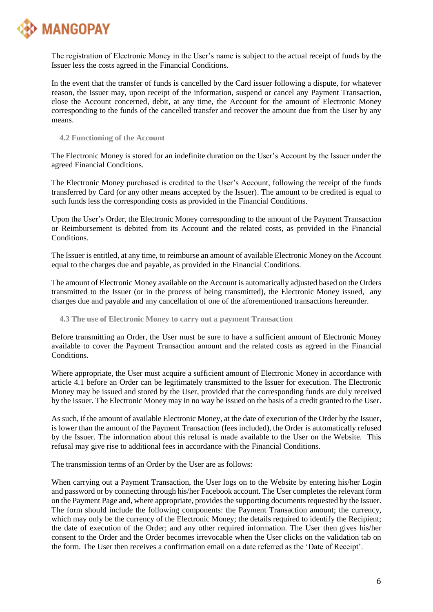

The registration of Electronic Money in the User's name is subject to the actual receipt of funds by the Issuer less the costs agreed in the Financial Conditions.

In the event that the transfer of funds is cancelled by the Card issuer following a dispute, for whatever reason, the Issuer may, upon receipt of the information, suspend or cancel any Payment Transaction, close the Account concerned, debit, at any time, the Account for the amount of Electronic Money corresponding to the funds of the cancelled transfer and recover the amount due from the User by any means.

## **4.2 Functioning of the Account**

The Electronic Money is stored for an indefinite duration on the User's Account by the Issuer under the agreed Financial Conditions.

The Electronic Money purchased is credited to the User's Account, following the receipt of the funds transferred by Card (or any other means accepted by the Issuer). The amount to be credited is equal to such funds less the corresponding costs as provided in the Financial Conditions.

Upon the User's Order, the Electronic Money corresponding to the amount of the Payment Transaction or Reimbursement is debited from its Account and the related costs, as provided in the Financial Conditions.

The Issuer is entitled, at any time, to reimburse an amount of available Electronic Money on the Account equal to the charges due and payable, as provided in the Financial Conditions.

The amount of Electronic Money available on the Account is automatically adjusted based on the Orders transmitted to the Issuer (or in the process of being transmitted), the Electronic Money issued, any charges due and payable and any cancellation of one of the aforementioned transactions hereunder.

# **4.3 The use of Electronic Money to carry out a payment Transaction**

Before transmitting an Order, the User must be sure to have a sufficient amount of Electronic Money available to cover the Payment Transaction amount and the related costs as agreed in the Financial **Conditions** 

Where appropriate, the User must acquire a sufficient amount of Electronic Money in accordance with article 4.1 before an Order can be legitimately transmitted to the Issuer for execution. The Electronic Money may be issued and stored by the User, provided that the corresponding funds are duly received by the Issuer. The Electronic Money may in no way be issued on the basis of a credit granted to the User.

As such, if the amount of available Electronic Money, at the date of execution of the Order by the Issuer, is lower than the amount of the Payment Transaction (fees included), the Order is automatically refused by the Issuer. The information about this refusal is made available to the User on the Website. This refusal may give rise to additional fees in accordance with the Financial Conditions.

The transmission terms of an Order by the User are as follows:

When carrying out a Payment Transaction, the User logs on to the Website by entering his/her Login and password or by connecting through his/her Facebook account. The User completes the relevant form on the Payment Page and, where appropriate, provides the supporting documents requested by the Issuer. The form should include the following components: the Payment Transaction amount; the currency, which may only be the currency of the Electronic Money; the details required to identify the Recipient; the date of execution of the Order; and any other required information. The User then gives his/her consent to the Order and the Order becomes irrevocable when the User clicks on the validation tab on the form. The User then receives a confirmation email on a date referred as the 'Date of Receipt'.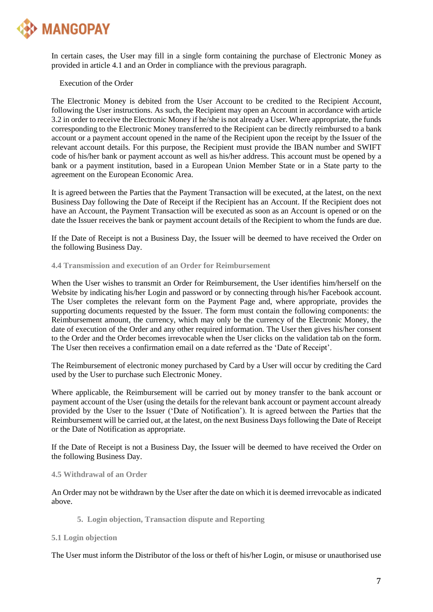

In certain cases, the User may fill in a single form containing the purchase of Electronic Money as provided in article 4.1 and an Order in compliance with the previous paragraph.

Execution of the Order

The Electronic Money is debited from the User Account to be credited to the Recipient Account, following the User instructions. As such, the Recipient may open an Account in accordance with article 3.2 in order to receive the Electronic Money if he/she is not already a User. Where appropriate, the funds corresponding to the Electronic Money transferred to the Recipient can be directly reimbursed to a bank account or a payment account opened in the name of the Recipient upon the receipt by the Issuer of the relevant account details. For this purpose, the Recipient must provide the IBAN number and SWIFT code of his/her bank or payment account as well as his/her address. This account must be opened by a bank or a payment institution, based in a European Union Member State or in a State party to the agreement on the European Economic Area.

It is agreed between the Parties that the Payment Transaction will be executed, at the latest, on the next Business Day following the Date of Receipt if the Recipient has an Account. If the Recipient does not have an Account, the Payment Transaction will be executed as soon as an Account is opened or on the date the Issuer receives the bank or payment account details of the Recipient to whom the funds are due.

If the Date of Receipt is not a Business Day, the Issuer will be deemed to have received the Order on the following Business Day.

**4.4 Transmission and execution of an Order for Reimbursement**

When the User wishes to transmit an Order for Reimbursement, the User identifies him/herself on the Website by indicating his/her Login and password or by connecting through his/her Facebook account. The User completes the relevant form on the Payment Page and, where appropriate, provides the supporting documents requested by the Issuer. The form must contain the following components: the Reimbursement amount, the currency, which may only be the currency of the Electronic Money, the date of execution of the Order and any other required information. The User then gives his/her consent to the Order and the Order becomes irrevocable when the User clicks on the validation tab on the form. The User then receives a confirmation email on a date referred as the 'Date of Receipt'.

The Reimbursement of electronic money purchased by Card by a User will occur by crediting the Card used by the User to purchase such Electronic Money.

Where applicable, the Reimbursement will be carried out by money transfer to the bank account or payment account of the User (using the details for the relevant bank account or payment account already provided by the User to the Issuer ('Date of Notification'). It is agreed between the Parties that the Reimbursement will be carried out, at the latest, on the next Business Days following the Date of Receipt or the Date of Notification as appropriate.

If the Date of Receipt is not a Business Day, the Issuer will be deemed to have received the Order on the following Business Day.

# **4.5 Withdrawal of an Order**

An Order may not be withdrawn by the User after the date on which it is deemed irrevocable as indicated above.

**5. Login objection, Transaction dispute and Reporting** 

**5.1 Login objection**

The User must inform the Distributor of the loss or theft of his/her Login, or misuse or unauthorised use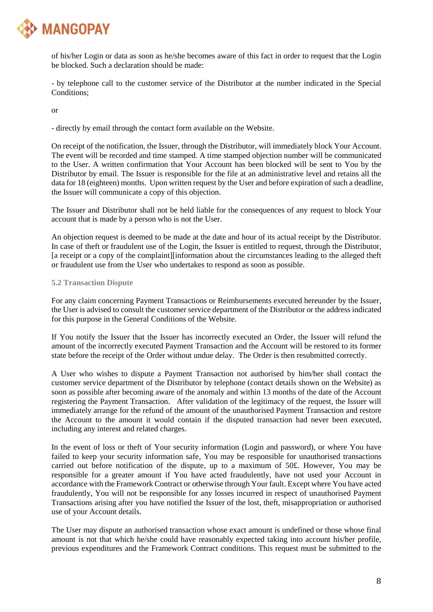

of his/her Login or data as soon as he/she becomes aware of this fact in order to request that the Login be blocked. Such a declaration should be made:

- by telephone call to the customer service of the Distributor at the number indicated in the Special Conditions;

or

- directly by email through the contact form available on the Website.

On receipt of the notification, the Issuer, through the Distributor, will immediately block Your Account. The event will be recorded and time stamped. A time stamped objection number will be communicated to the User. A written confirmation that Your Account has been blocked will be sent to You by the Distributor by email. The Issuer is responsible for the file at an administrative level and retains all the data for 18 (eighteen) months. Upon written request by the User and before expiration of such a deadline, the Issuer will communicate a copy of this objection.

The Issuer and Distributor shall not be held liable for the consequences of any request to block Your account that is made by a person who is not the User.

An objection request is deemed to be made at the date and hour of its actual receipt by the Distributor. In case of theft or fraudulent use of the Login, the Issuer is entitled to request, through the Distributor, [a receipt or a copy of the complaint][information about the circumstances leading to the alleged theft or fraudulent use from the User who undertakes to respond as soon as possible.

## **5.2 Transaction Dispute**

For any claim concerning Payment Transactions or Reimbursements executed hereunder by the Issuer, the User is advised to consult the customer service department of the Distributor or the address indicated for this purpose in the General Conditions of the Website.

If You notify the Issuer that the Issuer has incorrectly executed an Order, the Issuer will refund the amount of the incorrectly executed Payment Transaction and the Account will be restored to its former state before the receipt of the Order without undue delay. The Order is then resubmitted correctly.

A User who wishes to dispute a Payment Transaction not authorised by him/her shall contact the customer service department of the Distributor by telephone (contact details shown on the Website) as soon as possible after becoming aware of the anomaly and within 13 months of the date of the Account registering the Payment Transaction. After validation of the legitimacy of the request, the Issuer will immediately arrange for the refund of the amount of the unauthorised Payment Transaction and restore the Account to the amount it would contain if the disputed transaction had never been executed, including any interest and related charges.

In the event of loss or theft of Your security information (Login and password), or where You have failed to keep your security information safe, You may be responsible for unauthorised transactions carried out before notification of the dispute, up to a maximum of 50£. However, You may be responsible for a greater amount if You have acted fraudulently, have not used your Account in accordance with the Framework Contract or otherwise through Your fault. Except where You have acted fraudulently, You will not be responsible for any losses incurred in respect of unauthorised Payment Transactions arising after you have notified the Issuer of the lost, theft, misappropriation or authorised use of your Account details.

The User may dispute an authorised transaction whose exact amount is undefined or those whose final amount is not that which he/she could have reasonably expected taking into account his/her profile, previous expenditures and the Framework Contract conditions. This request must be submitted to the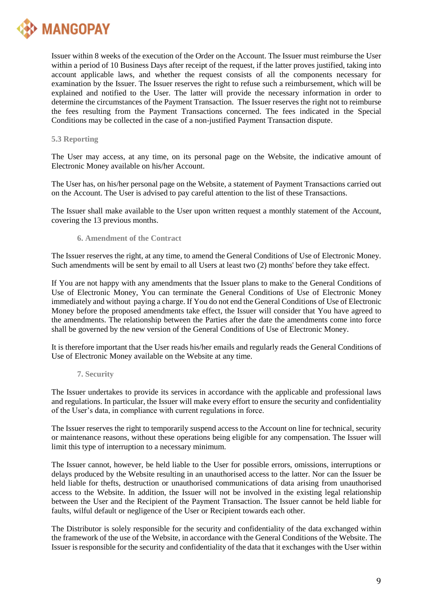

Issuer within 8 weeks of the execution of the Order on the Account. The Issuer must reimburse the User within a period of 10 Business Days after receipt of the request, if the latter proves justified, taking into account applicable laws, and whether the request consists of all the components necessary for examination by the Issuer. The Issuer reserves the right to refuse such a reimbursement, which will be explained and notified to the User. The latter will provide the necessary information in order to determine the circumstances of the Payment Transaction. The Issuer reserves the right not to reimburse the fees resulting from the Payment Transactions concerned. The fees indicated in the Special Conditions may be collected in the case of a non-justified Payment Transaction dispute.

# **5.3 Reporting**

The User may access, at any time, on its personal page on the Website, the indicative amount of Electronic Money available on his/her Account.

The User has, on his/her personal page on the Website, a statement of Payment Transactions carried out on the Account. The User is advised to pay careful attention to the list of these Transactions.

The Issuer shall make available to the User upon written request a monthly statement of the Account, covering the 13 previous months.

## **6. Amendment of the Contract**

The Issuer reserves the right, at any time, to amend the General Conditions of Use of Electronic Money. Such amendments will be sent by email to all Users at least two (2) months' before they take effect.

If You are not happy with any amendments that the Issuer plans to make to the General Conditions of Use of Electronic Money, You can terminate the General Conditions of Use of Electronic Money immediately and without paying a charge. If You do not end the General Conditions of Use of Electronic Money before the proposed amendments take effect, the Issuer will consider that You have agreed to the amendments. The relationship between the Parties after the date the amendments come into force shall be governed by the new version of the General Conditions of Use of Electronic Money.

It is therefore important that the User reads his/her emails and regularly reads the General Conditions of Use of Electronic Money available on the Website at any time.

#### **7. Security**

The Issuer undertakes to provide its services in accordance with the applicable and professional laws and regulations. In particular, the Issuer will make every effort to ensure the security and confidentiality of the User's data, in compliance with current regulations in force.

The Issuer reserves the right to temporarily suspend access to the Account on line for technical, security or maintenance reasons, without these operations being eligible for any compensation. The Issuer will limit this type of interruption to a necessary minimum.

The Issuer cannot, however, be held liable to the User for possible errors, omissions, interruptions or delays produced by the Website resulting in an unauthorised access to the latter. Nor can the Issuer be held liable for thefts, destruction or unauthorised communications of data arising from unauthorised access to the Website. In addition, the Issuer will not be involved in the existing legal relationship between the User and the Recipient of the Payment Transaction. The Issuer cannot be held liable for faults, wilful default or negligence of the User or Recipient towards each other.

The Distributor is solely responsible for the security and confidentiality of the data exchanged within the framework of the use of the Website, in accordance with the General Conditions of the Website. The Issuer is responsible for the security and confidentiality of the data that it exchanges with the User within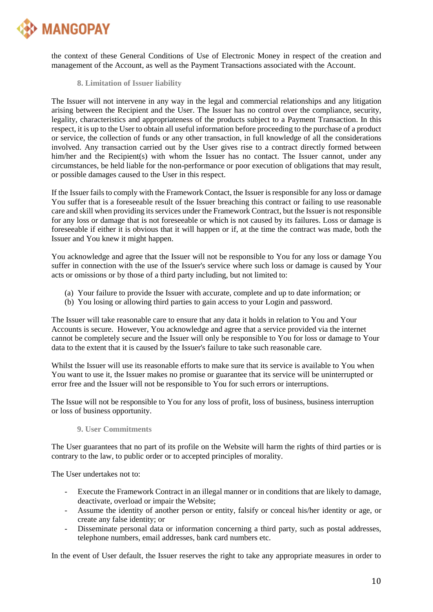

the context of these General Conditions of Use of Electronic Money in respect of the creation and management of the Account, as well as the Payment Transactions associated with the Account.

# **8. Limitation of Issuer liability**

The Issuer will not intervene in any way in the legal and commercial relationships and any litigation arising between the Recipient and the User. The Issuer has no control over the compliance, security, legality, characteristics and appropriateness of the products subject to a Payment Transaction. In this respect, it is up to the User to obtain all useful information before proceeding to the purchase of a product or service, the collection of funds or any other transaction, in full knowledge of all the considerations involved. Any transaction carried out by the User gives rise to a contract directly formed between him/her and the Recipient(s) with whom the Issuer has no contact. The Issuer cannot, under any circumstances, be held liable for the non-performance or poor execution of obligations that may result, or possible damages caused to the User in this respect.

If the Issuer fails to comply with the Framework Contact, the Issuer is responsible for any loss or damage You suffer that is a foreseeable result of the Issuer breaching this contract or failing to use reasonable care and skill when providing its services under the Framework Contract, but the Issuer is not responsible for any loss or damage that is not foreseeable or which is not caused by its failures. Loss or damage is foreseeable if either it is obvious that it will happen or if, at the time the contract was made, both the Issuer and You knew it might happen.

You acknowledge and agree that the Issuer will not be responsible to You for any loss or damage You suffer in connection with the use of the Issuer's service where such loss or damage is caused by Your acts or omissions or by those of a third party including, but not limited to:

- (a) Your failure to provide the Issuer with accurate, complete and up to date information; or
- (b) You losing or allowing third parties to gain access to your Login and password.

The Issuer will take reasonable care to ensure that any data it holds in relation to You and Your Accounts is secure. However, You acknowledge and agree that a service provided via the internet cannot be completely secure and the Issuer will only be responsible to You for loss or damage to Your data to the extent that it is caused by the Issuer's failure to take such reasonable care.

Whilst the Issuer will use its reasonable efforts to make sure that its service is available to You when You want to use it, the Issuer makes no promise or guarantee that its service will be uninterrupted or error free and the Issuer will not be responsible to You for such errors or interruptions.

The Issue will not be responsible to You for any loss of profit, loss of business, business interruption or loss of business opportunity.

# **9. User Commitments**

The User guarantees that no part of its profile on the Website will harm the rights of third parties or is contrary to the law, to public order or to accepted principles of morality.

The User undertakes not to:

- Execute the Framework Contract in an illegal manner or in conditions that are likely to damage, deactivate, overload or impair the Website;
- Assume the identity of another person or entity, falsify or conceal his/her identity or age, or create any false identity; or
- Disseminate personal data or information concerning a third party, such as postal addresses, telephone numbers, email addresses, bank card numbers etc.

In the event of User default, the Issuer reserves the right to take any appropriate measures in order to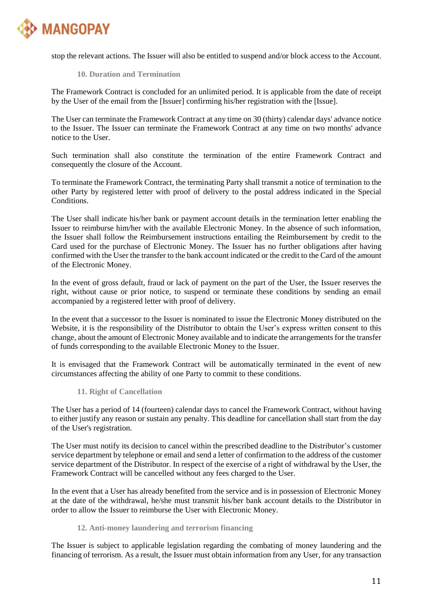

stop the relevant actions. The Issuer will also be entitled to suspend and/or block access to the Account.

# **10. Duration and Termination**

The Framework Contract is concluded for an unlimited period. It is applicable from the date of receipt by the User of the email from the [Issuer] confirming his/her registration with the [Issue].

The User can terminate the Framework Contract at any time on 30 (thirty) calendar days' advance notice to the Issuer. The Issuer can terminate the Framework Contract at any time on two months' advance notice to the User.

Such termination shall also constitute the termination of the entire Framework Contract and consequently the closure of the Account.

To terminate the Framework Contract, the terminating Party shall transmit a notice of termination to the other Party by registered letter with proof of delivery to the postal address indicated in the Special Conditions.

The User shall indicate his/her bank or payment account details in the termination letter enabling the Issuer to reimburse him/her with the available Electronic Money. In the absence of such information, the Issuer shall follow the Reimbursement instructions entailing the Reimbursement by credit to the Card used for the purchase of Electronic Money. The Issuer has no further obligations after having confirmed with the User the transfer to the bank account indicated or the credit to the Card of the amount of the Electronic Money.

In the event of gross default, fraud or lack of payment on the part of the User, the Issuer reserves the right, without cause or prior notice, to suspend or terminate these conditions by sending an email accompanied by a registered letter with proof of delivery.

In the event that a successor to the Issuer is nominated to issue the Electronic Money distributed on the Website, it is the responsibility of the Distributor to obtain the User's express written consent to this change, about the amount of Electronic Money available and to indicate the arrangements for the transfer of funds corresponding to the available Electronic Money to the Issuer.

It is envisaged that the Framework Contract will be automatically terminated in the event of new circumstances affecting the ability of one Party to commit to these conditions.

#### **11. Right of Cancellation**

The User has a period of 14 (fourteen) calendar days to cancel the Framework Contract, without having to either justify any reason or sustain any penalty. This deadline for cancellation shall start from the day of the User's registration.

The User must notify its decision to cancel within the prescribed deadline to the Distributor's customer service department by telephone or email and send a letter of confirmation to the address of the customer service department of the Distributor. In respect of the exercise of a right of withdrawal by the User, the Framework Contract will be cancelled without any fees charged to the User.

In the event that a User has already benefited from the service and is in possession of Electronic Money at the date of the withdrawal, he/she must transmit his/her bank account details to the Distributor in order to allow the Issuer to reimburse the User with Electronic Money.

# **12. Anti-money laundering and terrorism financing**

The Issuer is subject to applicable legislation regarding the combating of money laundering and the financing of terrorism. As a result, the Issuer must obtain information from any User, for any transaction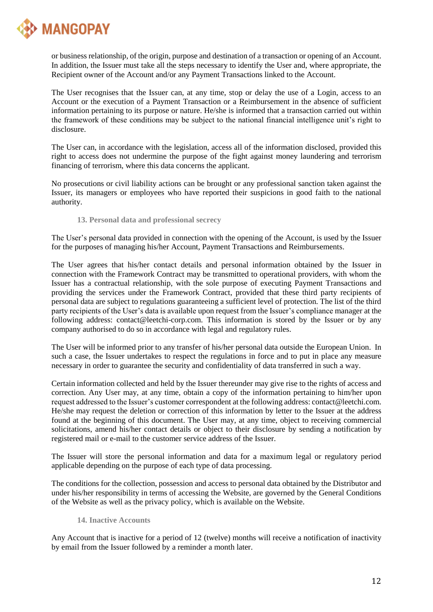

or business relationship, of the origin, purpose and destination of a transaction or opening of an Account. In addition, the Issuer must take all the steps necessary to identify the User and, where appropriate, the Recipient owner of the Account and/or any Payment Transactions linked to the Account.

The User recognises that the Issuer can, at any time, stop or delay the use of a Login, access to an Account or the execution of a Payment Transaction or a Reimbursement in the absence of sufficient information pertaining to its purpose or nature. He/she is informed that a transaction carried out within the framework of these conditions may be subject to the national financial intelligence unit's right to disclosure.

The User can, in accordance with the legislation, access all of the information disclosed, provided this right to access does not undermine the purpose of the fight against money laundering and terrorism financing of terrorism, where this data concerns the applicant.

No prosecutions or civil liability actions can be brought or any professional sanction taken against the Issuer, its managers or employees who have reported their suspicions in good faith to the national authority.

**13. Personal data and professional secrecy**

The User's personal data provided in connection with the opening of the Account, is used by the Issuer for the purposes of managing his/her Account, Payment Transactions and Reimbursements.

The User agrees that his/her contact details and personal information obtained by the Issuer in connection with the Framework Contract may be transmitted to operational providers, with whom the Issuer has a contractual relationship, with the sole purpose of executing Payment Transactions and providing the services under the Framework Contract, provided that these third party recipients of personal data are subject to regulations guaranteeing a sufficient level of protection. The list of the third party recipients of the User's data is available upon request from the Issuer's compliance manager at the following address: contact@leetchi-corp.com. This information is stored by the Issuer or by any company authorised to do so in accordance with legal and regulatory rules.

The User will be informed prior to any transfer of his/her personal data outside the European Union. In such a case, the Issuer undertakes to respect the regulations in force and to put in place any measure necessary in order to guarantee the security and confidentiality of data transferred in such a way.

Certain information collected and held by the Issuer thereunder may give rise to the rights of access and correction. Any User may, at any time, obtain a copy of the information pertaining to him/her upon request addressed to the Issuer's customer correspondent at the following address: contact@leetchi.com. He/she may request the deletion or correction of this information by letter to the Issuer at the address found at the beginning of this document. The User may, at any time, object to receiving commercial solicitations, amend his/her contact details or object to their disclosure by sending a notification by registered mail or e-mail to the customer service address of the Issuer.

The Issuer will store the personal information and data for a maximum legal or regulatory period applicable depending on the purpose of each type of data processing.

The conditions for the collection, possession and access to personal data obtained by the Distributor and under his/her responsibility in terms of accessing the Website, are governed by the General Conditions of the Website as well as the privacy policy, which is available on the Website.

# **14. Inactive Accounts**

Any Account that is inactive for a period of 12 (twelve) months will receive a notification of inactivity by email from the Issuer followed by a reminder a month later.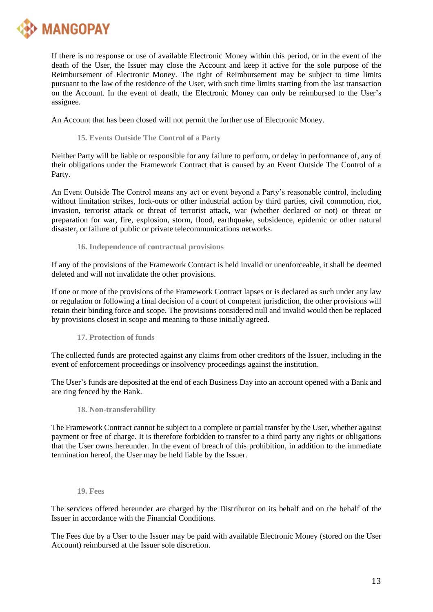

If there is no response or use of available Electronic Money within this period, or in the event of the death of the User, the Issuer may close the Account and keep it active for the sole purpose of the Reimbursement of Electronic Money. The right of Reimbursement may be subject to time limits pursuant to the law of the residence of the User, with such time limits starting from the last transaction on the Account. In the event of death, the Electronic Money can only be reimbursed to the User's assignee.

An Account that has been closed will not permit the further use of Electronic Money.

**15. Events Outside The Control of a Party**

Neither Party will be liable or responsible for any failure to perform, or delay in performance of, any of their obligations under the Framework Contract that is caused by an Event Outside The Control of a Party.

An Event Outside The Control means any act or event beyond a Party's reasonable control, including without limitation strikes, lock-outs or other industrial action by third parties, civil commotion, riot, invasion, terrorist attack or threat of terrorist attack, war (whether declared or not) or threat or preparation for war, fire, explosion, storm, flood, earthquake, subsidence, epidemic or other natural disaster, or failure of public or private telecommunications networks.

**16. Independence of contractual provisions**

If any of the provisions of the Framework Contract is held invalid or unenforceable, it shall be deemed deleted and will not invalidate the other provisions.

If one or more of the provisions of the Framework Contract lapses or is declared as such under any law or regulation or following a final decision of a court of competent jurisdiction, the other provisions will retain their binding force and scope. The provisions considered null and invalid would then be replaced by provisions closest in scope and meaning to those initially agreed.

**17. Protection of funds**

The collected funds are protected against any claims from other creditors of the Issuer, including in the event of enforcement proceedings or insolvency proceedings against the institution.

The User's funds are deposited at the end of each Business Day into an account opened with a Bank and are ring fenced by the Bank.

# **18. Non-transferability**

The Framework Contract cannot be subject to a complete or partial transfer by the User, whether against payment or free of charge. It is therefore forbidden to transfer to a third party any rights or obligations that the User owns hereunder. In the event of breach of this prohibition, in addition to the immediate termination hereof, the User may be held liable by the Issuer.

**19. Fees**

The services offered hereunder are charged by the Distributor on its behalf and on the behalf of the Issuer in accordance with the Financial Conditions.

The Fees due by a User to the Issuer may be paid with available Electronic Money (stored on the User Account) reimbursed at the Issuer sole discretion.